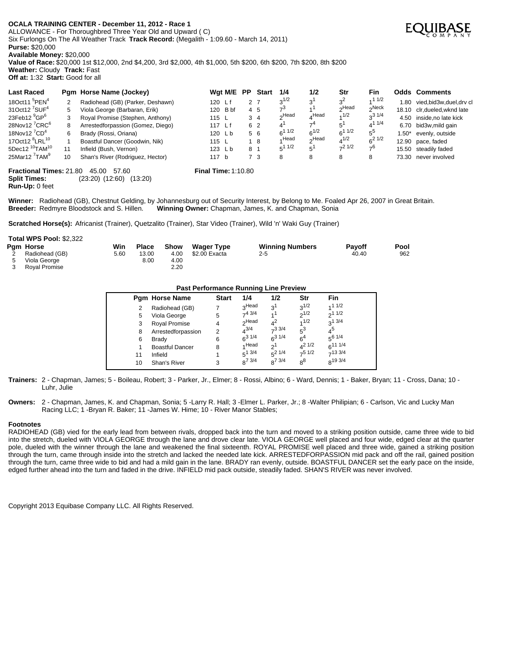# **OCALA TRAINING CENTER - December 11, 2012 - Race 1**

ALLOWANCE - For Thoroughbred Three Year Old and Upward ( C) Six Furlongs On The All Weather Track **Track Record:** (Megalith - 1:09.60 - March 14, 2011) **Purse:** \$20,000 **Available Money:** \$20,000

**Value of Race:** \$20,000 1st \$12,000, 2nd \$4,200, 3rd \$2,000, 4th \$1,000, 5th \$200, 6th \$200, 7th \$200, 8th \$200 **Weather:** Cloudy **Track:** Fast **Off at:** 1:32 **Start:** Good for all

| <b>Last Raced</b>                         |    | Pam Horse Name (Jockey)           |                            | Wgt M/E  | <b>PP</b> | <b>Start</b>   | 1/4            | 1/2               | Str               | <b>Fin</b>        |          | <b>Odds Comments</b>       |
|-------------------------------------------|----|-----------------------------------|----------------------------|----------|-----------|----------------|----------------|-------------------|-------------------|-------------------|----------|----------------------------|
| 18Oct11 $5$ PEN $4$                       | 2  | Radiohead (GB) (Parker, Deshawn)  | 120 Lf                     |          |           | 2 <sub>7</sub> | $3^{1/2}$      | 3 <sup>1</sup>    | $3^2$             | 11/2              | 1.80     | vied,bid3w,duel,drv cl     |
| 31Oct12 <sup>7</sup> SUF <sup>4</sup>     | 5  | Viola George (Barbaran, Erik)     |                            | 120 B bf |           | 4 5            | 7 <sup>3</sup> |                   | <sub>2</sub> Head | $2^{\text{Neck}}$ |          | 18.10 clr.dueled.wknd late |
| 23Feb12 <sup>9</sup> GP <sup>6</sup>      | 3  | Royal Promise (Stephen, Anthony)  | 115 L                      |          |           | 3 4            | Headر م        | <sub>4</sub> Head | 1/2               | $3^{31/4}$        |          | 4.50 inside, no late kick  |
| 28Nov12 <sup>7</sup> CRC <sup>6</sup>     | 8  | Arrestedforpassion (Gomez, Diego) | 117 Lf                     |          |           | 6 2            | 4'             | $-4$              | $5^1$             | $4^{11/4}$        |          | 6.70 bid3w, mild gain      |
| 18Nov12 $^7$ CD <sup>4</sup>              | 6  | Brady (Rossi, Oriana)             |                            | 120 Lb   |           | 56             | $6^{11/2}$     | $6^{1/2}$         | $6^{11/2}$        | $5^{\circ}$       | $1.50^*$ | evenly, outside            |
| 17Oct12 <sup>8</sup> LRL <sup>10</sup>    |    | Boastful Dancer (Goodwin, Nik)    | $115 \quad L$              |          |           | 18             | ⊿ Head         | ∩Head             | $4^{1/2}$         | $6^{21/2}$        |          | 12.90 pace, faded          |
| $5$ Dec12 <sup>10</sup> TAM <sup>10</sup> | 11 | Infield (Bush, Vernon)            |                            | 123 Lb   |           | 8 1            | $5^1$ $1/2$    | $5^1$             | $-21/2$           | $7^6$             |          | 15.50 steadily faded       |
| 25Mar12 <sup>7</sup> TAM <sup>9</sup>     | 10 | Shan's River (Rodriguez, Hector)  | 117 b                      |          |           | 73             | 8              | 8                 | 8                 | 8                 | 73.30    | never involved             |
| <b>Fractional Times: 21.80</b>            |    | 45.00<br>57.60                    | <b>Final Time: 1:10.80</b> |          |           |                |                |                   |                   |                   |          |                            |
| <b>Split Times:</b>                       |    | $(23:20)$ $(12:60)$ $(13:20)$     |                            |          |           |                |                |                   |                   |                   |          |                            |
| <b>Run-Up: 0 feet</b>                     |    |                                   |                            |          |           |                |                |                   |                   |                   |          |                            |

**Winner:** Radiohead (GB), Chestnut Gelding, by Johannesburg out of Security Interest, by Belong to Me. Foaled Apr 26, 2007 in Great Britain. **Breeder:** Redmyre Bloodstock and S. Hillen. **Winning Owner:** Chapman, James, K. and Chapman, Sonia

**Scratched Horse(s):** Africanist (Trainer), Quetzalito (Trainer), Star Video (Trainer), Wild 'n' Waki Guy (Trainer)

## **Total WPS Pool:** \$2,322

| Pam Horse      | Win  | <b>Place</b> | Show | <b>Wager Type</b> | <b>Winning Numbers</b> | <b>Pavoff</b> | Pool |
|----------------|------|--------------|------|-------------------|------------------------|---------------|------|
| Radiohead (GB) | 5.60 | 13.00        | 4.00 | \$2.00 Exacta     | 2-5                    | 40.40         | 962  |
| Viola George   |      | 8.00         | 4.00 |                   |                        |               |      |
| Roval Promise  |      |              | 2.20 |                   |                        |               |      |

### **Past Performance Running Line Preview**

|    | <b>Pam Horse Name</b>  | Start | 1/4               | 1/2            | Str         | Fin                 |
|----|------------------------|-------|-------------------|----------------|-------------|---------------------|
| 2  | Radiohead (GB)         |       | <sub>2</sub> Head | 3 <sup>1</sup> | $2^{1/2}$   | 11/2                |
| 5  | Viola George           | 5     | $7^{4}3/4$        |                | $2^{1/2}$   | $2^{11/2}$          |
| 3  | <b>Royal Promise</b>   | 4     | <del>o</del> Head | 4 <sup>2</sup> | 1/2         | 3/4                 |
| 8  | Arrestedforpassion     | 2     | $4^{3/4}$         | $-3.3/4$       | $5^3$       | $4^5$               |
| 6  | <b>Brady</b>           |       | $6^{31/4}$        | $6^{3}$ 1/4    | $6^4$       | $5^{6}$ 1/4         |
|    | <b>Boastful Dancer</b> | 8     | 4 Head            | -ე1            | $A^2$ 1/2   | $6^{11.1/4}$        |
| 11 | Infield                |       | $5^{13/4}$        | $5^2$ 1/4      | $7^{5}$ 1/2 | $7^{13}$ 3/4        |
| 10 | Shan's River           |       | $R^{7}$ 3/4       | $R^{7}$ 3/4    | $8^8$       | 8 <sup>19 3/4</sup> |

**Trainers:** 2 - Chapman, James; 5 - Boileau, Robert; 3 - Parker, Jr., Elmer; 8 - Rossi, Albino; 6 - Ward, Dennis; 1 - Baker, Bryan; 11 - Cross, Dana; 10 - Luhr, Julie

**Owners:** 2 - Chapman, James, K. and Chapman, Sonia; 5 -Larry R. Hall; 3 -Elmer L. Parker, Jr.; 8 -Walter Philipian; 6 - Carlson, Vic and Lucky Man Racing LLC; 1 -Bryan R. Baker; 11 -James W. Hime; 10 - River Manor Stables;

#### **Footnotes**

RADIOHEAD (GB) vied for the early lead from between rivals, dropped back into the turn and moved to a striking position outside, came three wide to bid into the stretch, dueled with VIOLA GEORGE through the lane and drove clear late. VIOLA GEORGE well placed and four wide, edged clear at the quarter pole, dueled with the winner through the lane and weakened the final sixteenth. ROYAL PROMISE well placed and three wide, gained a striking position through the turn, came through inside into the stretch and lacked the needed late kick. ARRESTEDFORPASSION mid pack and off the rail, gained position through the turn, came three wide to bid and had a mild gain in the lane. BRADY ran evenly, outside. BOASTFUL DANCER set the early pace on the inside, edged further ahead into the turn and faded in the drive. INFIELD mid pack outside, steadily faded. SHAN'S RIVER was never involved.

Copyright 2013 Equibase Company LLC. All Rights Reserved.